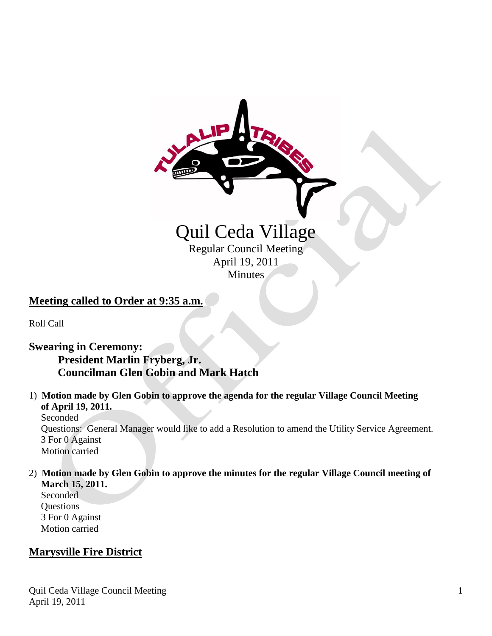# Quil Ceda Village Regular Council Meeting April 19, 2011

**Minutes** 

## **Meeting called to Order at 9:35 a.m.**

Roll Call

## **Swearing in Ceremony:**

# **President Marlin Fryberg, Jr. Councilman Glen Gobin and Mark Hatch**

#### 1) **Motion made by Glen Gobin to approve the agenda for the regular Village Council Meeting of April 19, 2011.** Seconded Questions: General Manager would like to add a Resolution to amend the Utility Service Agreement. 3 For 0 Against Motion carried

### 2) **Motion made by Glen Gobin to approve the minutes for the regular Village Council meeting of March 15, 2011.**

 Seconded Questions 3 For 0 Against Motion carried

# **Marysville Fire District**

Quil Ceda Village Council Meeting April 19, 2011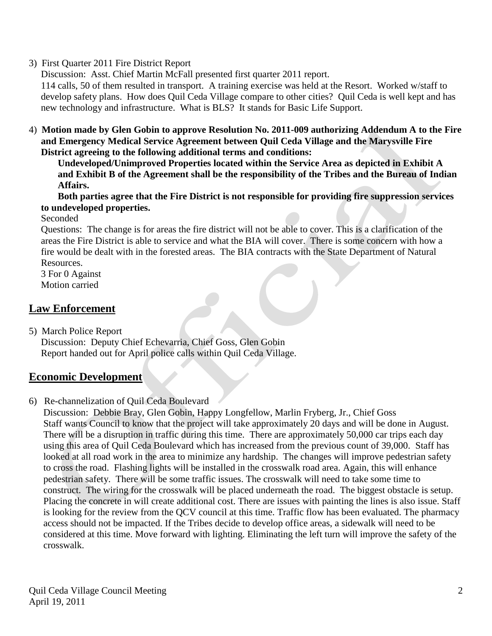## 3) First Quarter 2011 Fire District Report

Discussion: Asst. Chief Martin McFall presented first quarter 2011 report.

 114 calls, 50 of them resulted in transport. A training exercise was held at the Resort. Worked w/staff to develop safety plans. How does Quil Ceda Village compare to other cities? Quil Ceda is well kept and has new technology and infrastructure. What is BLS? It stands for Basic Life Support.

4) **Motion made by Glen Gobin to approve Resolution No. 2011-009 authorizing Addendum A to the Fire and Emergency Medical Service Agreement between Quil Ceda Village and the Marysville Fire District agreeing to the following additional terms and conditions:**

**Undeveloped/Unimproved Properties located within the Service Area as depicted in Exhibit A and Exhibit B of the Agreement shall be the responsibility of the Tribes and the Bureau of Indian Affairs.**

**Both parties agree that the Fire District is not responsible for providing fire suppression services to undeveloped properties.**

Seconded

 Questions: The change is for areas the fire district will not be able to cover. This is a clarification of the areas the Fire District is able to service and what the BIA will cover. There is some concern with how a fire would be dealt with in the forested areas. The BIA contracts with the State Department of Natural Resources.

 3 For 0 Against Motion carried

# **Law Enforcement**

5) March Police Report

 Discussion: Deputy Chief Echevarria, Chief Goss, Glen Gobin Report handed out for April police calls within Quil Ceda Village.

# **Economic Development**

## 6) Re-channelization of Quil Ceda Boulevard

 Discussion: Debbie Bray, Glen Gobin, Happy Longfellow, Marlin Fryberg, Jr., Chief Goss Staff wants Council to know that the project will take approximately 20 days and will be done in August. There will be a disruption in traffic during this time. There are approximately 50,000 car trips each day using this area of Quil Ceda Boulevard which has increased from the previous count of 39,000. Staff has looked at all road work in the area to minimize any hardship. The changes will improve pedestrian safety to cross the road. Flashing lights will be installed in the crosswalk road area. Again, this will enhance pedestrian safety. There will be some traffic issues. The crosswalk will need to take some time to construct. The wiring for the crosswalk will be placed underneath the road. The biggest obstacle is setup. Placing the concrete in will create additional cost. There are issues with painting the lines is also issue. Staff is looking for the review from the QCV council at this time. Traffic flow has been evaluated. The pharmacy access should not be impacted. If the Tribes decide to develop office areas, a sidewalk will need to be considered at this time. Move forward with lighting. Eliminating the left turn will improve the safety of the crosswalk.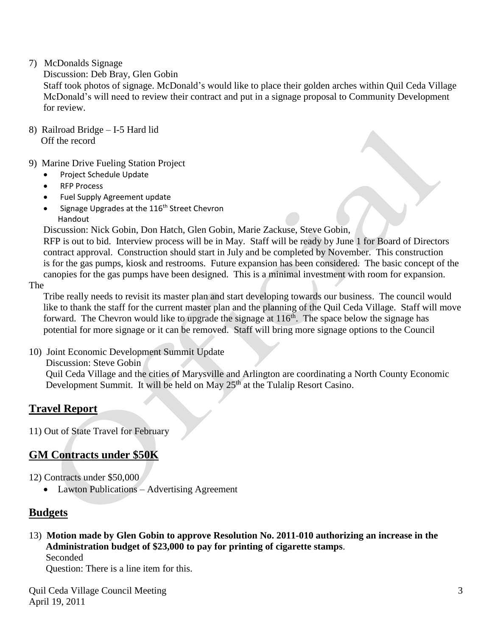### 7) McDonalds Signage

### Discussion: Deb Bray, Glen Gobin

 Staff took photos of signage. McDonald's would like to place their golden arches within Quil Ceda Village McDonald's will need to review their contract and put in a signage proposal to Community Development for review.

- 8) Railroad Bridge I-5 Hard lid Off the record
- 9) Marine Drive Fueling Station Project
	- Project Schedule Update
	- RFP Process
	- Fuel Supply Agreement update
	- Signage Upgrades at the 116<sup>th</sup> Street Chevron Handout

Discussion: Nick Gobin, Don Hatch, Glen Gobin, Marie Zackuse, Steve Gobin,

 RFP is out to bid. Interview process will be in May. Staff will be ready by June 1 for Board of Directors contract approval. Construction should start in July and be completed by November. This construction is for the gas pumps, kiosk and restrooms. Future expansion has been considered. The basic concept of the canopies for the gas pumps have been designed. This is a minimal investment with room for expansion.

The

 Tribe really needs to revisit its master plan and start developing towards our business. The council would like to thank the staff for the current master plan and the planning of the Quil Ceda Village. Staff will move forward. The Chevron would like to upgrade the signage at  $116<sup>th</sup>$ . The space below the signage has potential for more signage or it can be removed. Staff will bring more signage options to the Council

10) Joint Economic Development Summit Update

Discussion: Steve Gobin

 Quil Ceda Village and the cities of Marysville and Arlington are coordinating a North County Economic Development Summit. It will be held on May  $25<sup>th</sup>$  at the Tulalip Resort Casino.

## **Travel Report**

11) Out of State Travel for February

## **GM Contracts under \$50K**

12) Contracts under \$50,000

• Lawton Publications – Advertising Agreement

## **Budgets**

13) **Motion made by Glen Gobin to approve Resolution No. 2011-010 authorizing an increase in the Administration budget of \$23,000 to pay for printing of cigarette stamps**. Seconded

Question: There is a line item for this.